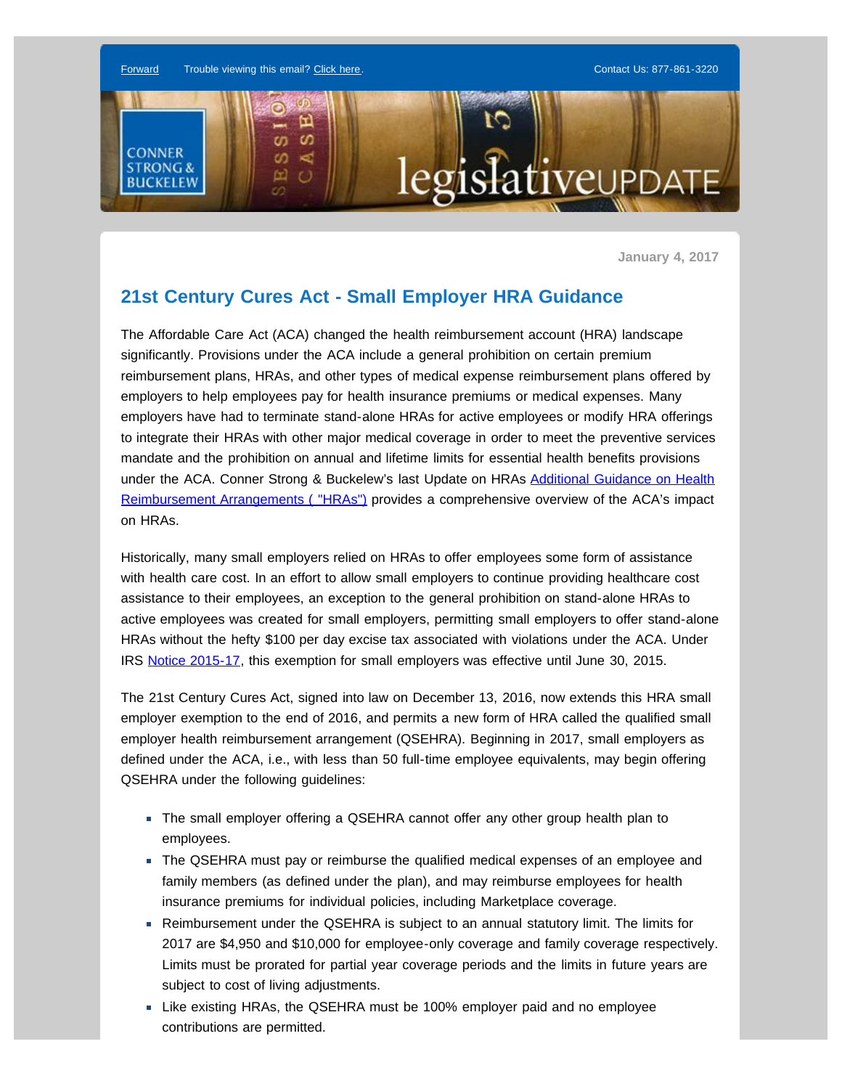

**January 4, 2017**

## **21st Century Cures Act - Small Employer HRA Guidance**

The Affordable Care Act (ACA) changed the health reimbursement account (HRA) landscape significantly. Provisions under the ACA include a general prohibition on certain premium reimbursement plans, HRAs, and other types of medical expense reimbursement plans offered by employers to help employees pay for health insurance premiums or medical expenses. Many employers have had to terminate stand-alone HRAs for active employees or modify HRA offerings to integrate their HRAs with other major medical coverage in order to meet the preventive services mandate and the prohibition on annual and lifetime limits for essential health benefits provisions under the ACA. Conner Strong & Buckelew's last Update on HRAs [Additional Guidance on Health](http://enews.connerstrongbuckelew.com/q/SlGWdyU4lUd74OM_YJphZgd0OJdvseQQVQyAU7wajOG38auGv2AlEd9SR) [Reimbursement Arrangements \( "HRAs"\)](http://enews.connerstrongbuckelew.com/q/SlGWdyU4lUd74OM_YJphZgd0OJdvseQQVQyAU7wajOG38auGv2AlEd9SR) provides a comprehensive overview of the ACA's impact on HRAs.

Historically, many small employers relied on HRAs to offer employees some form of assistance with health care cost. In an effort to allow small employers to continue providing healthcare cost assistance to their employees, an exception to the general prohibition on stand-alone HRAs to active employees was created for small employers, permitting small employers to offer stand-alone HRAs without the hefty \$100 per day excise tax associated with violations under the ACA. Under IRS [Notice 2015-17,](http://enews.connerstrongbuckelew.com/q/fcxNFGCgUCFfgI-4s92e-MFJl97anypNY4rokRjrRjXk-SLGCOni_FiT1) this exemption for small employers was effective until June 30, 2015.

The 21st Century Cures Act, signed into law on December 13, 2016, now extends this HRA small employer exemption to the end of 2016, and permits a new form of HRA called the qualified small employer health reimbursement arrangement (QSEHRA). Beginning in 2017, small employers as defined under the ACA, i.e., with less than 50 full-time employee equivalents, may begin offering QSEHRA under the following guidelines:

- The small employer offering a QSEHRA cannot offer any other group health plan to employees.
- The QSEHRA must pay or reimburse the qualified medical expenses of an employee and family members (as defined under the plan), and may reimburse employees for health insurance premiums for individual policies, including Marketplace coverage.
- Reimbursement under the QSEHRA is subject to an annual statutory limit. The limits for 2017 are \$4,950 and \$10,000 for employee-only coverage and family coverage respectively. Limits must be prorated for partial year coverage periods and the limits in future years are subject to cost of living adjustments.
- Like existing HRAs, the QSEHRA must be 100% employer paid and no employee contributions are permitted.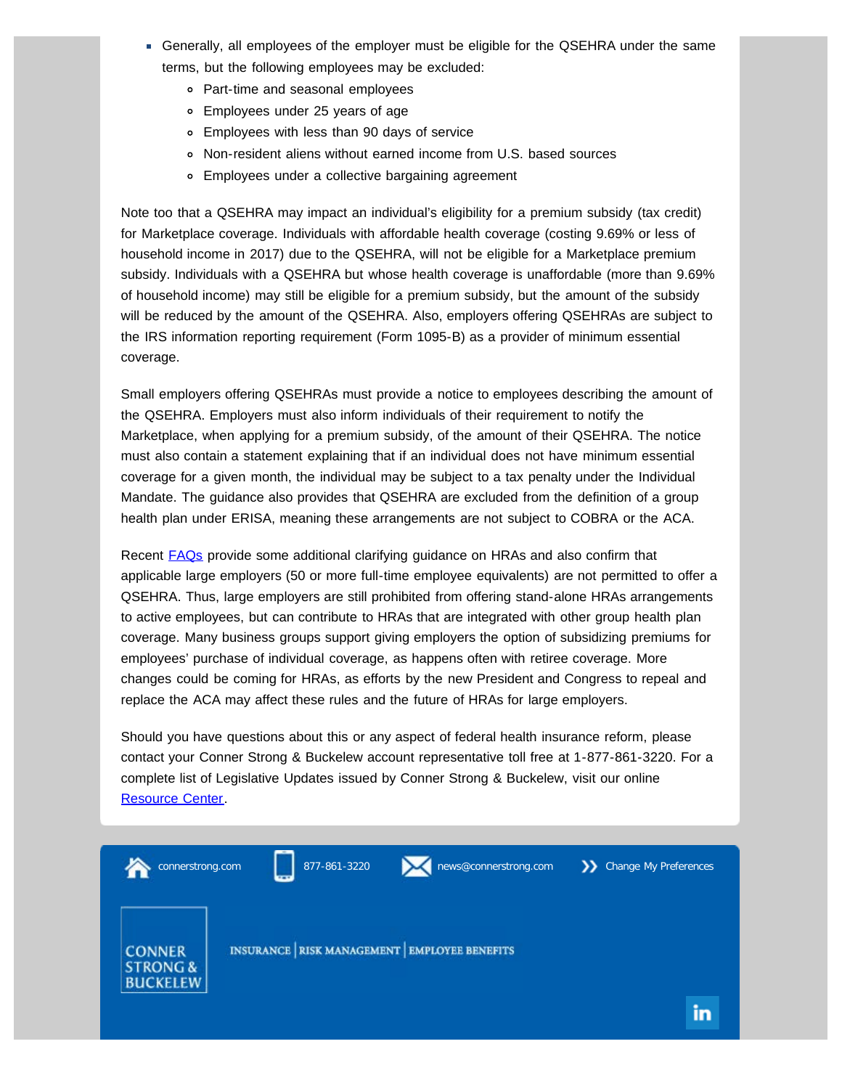- Generally, all employees of the employer must be eligible for the QSEHRA under the same terms, but the following employees may be excluded:
	- Part-time and seasonal employees
	- Employees under 25 years of age
	- Employees with less than 90 days of service
	- Non-resident aliens without earned income from U.S. based sources
	- Employees under a collective bargaining agreement

Note too that a QSEHRA may impact an individual's eligibility for a premium subsidy (tax credit) for Marketplace coverage. Individuals with affordable health coverage (costing 9.69% or less of household income in 2017) due to the QSEHRA, will not be eligible for a Marketplace premium subsidy. Individuals with a QSEHRA but whose health coverage is unaffordable (more than 9.69% of household income) may still be eligible for a premium subsidy, but the amount of the subsidy will be reduced by the amount of the QSEHRA. Also, employers offering QSEHRAs are subject to the IRS information reporting requirement (Form 1095-B) as a provider of minimum essential coverage.

Small employers offering QSEHRAs must provide a notice to employees describing the amount of the QSEHRA. Employers must also inform individuals of their requirement to notify the Marketplace, when applying for a premium subsidy, of the amount of their QSEHRA. The notice must also contain a statement explaining that if an individual does not have minimum essential coverage for a given month, the individual may be subject to a tax penalty under the Individual Mandate. The guidance also provides that QSEHRA are excluded from the definition of a group health plan under ERISA, meaning these arrangements are not subject to COBRA or the ACA.

Recent [FAQs](http://enews.connerstrongbuckelew.com/q/DTLzwSd_idwy_djlb-LnMvwNV-XD--hHNS9Da1b7mjJS8rgG9l_qjw6uA) provide some additional clarifying guidance on HRAs and also confirm that applicable large employers (50 or more full-time employee equivalents) are not permitted to offer a QSEHRA. Thus, large employers are still prohibited from offering stand-alone HRAs arrangements to active employees, but can contribute to HRAs that are integrated with other group health plan coverage. Many business groups support giving employers the option of subsidizing premiums for employees' purchase of individual coverage, as happens often with retiree coverage. More changes could be coming for HRAs, as efforts by the new President and Congress to repeal and replace the ACA may affect these rules and the future of HRAs for large employers.

Should you have questions about this or any aspect of federal health insurance reform, please contact your Conner Strong & Buckelew account representative toll free at 1-877-861-3220. For a complete list of Legislative Updates issued by Conner Strong & Buckelew, visit our online [Resource Center](http://enews.connerstrongbuckelew.com/q/1HE6QZfq7fQMUkY3k5uQywQ4v5mTDXrxthW-MAO8VvmZwLcG8v0vIQK_w).